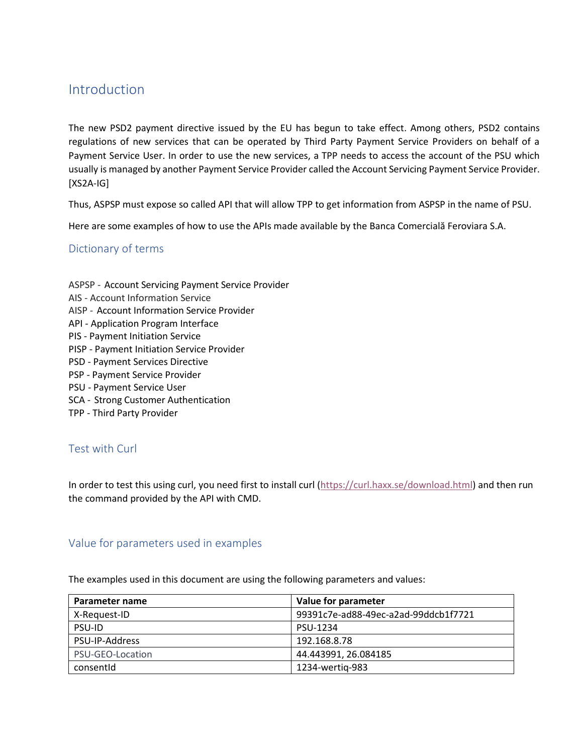# Introduction

The new PSD2 payment directive issued by the EU has begun to take effect. Among others, PSD2 contains regulations of new services that can be operated by Third Party Payment Service Providers on behalf of a Payment Service User. In order to use the new services, a TPP needs to access the account of the PSU which usually is managed by another Payment Service Provider called the Account Servicing Payment Service Provider. [XS2A-IG]

Thus, ASPSP must expose so called API that will allow TPP to get information from ASPSP in the name of PSU.

Here are some examples of how to use the APIs made available by the Banca Comercială Feroviara S.A.

# Dictionary of terms

- ASPSP Account Servicing Payment Service Provider
- AIS Account Information Service
- AISP Account Information Service Provider
- API Application Program Interface
- PIS Payment Initiation Service
- PISP Payment Initiation Service Provider
- PSD Payment Services Directive
- PSP Payment Service Provider
- PSU Payment Service User
- SCA Strong Customer Authentication
- TPP Third Party Provider

# Test with Curl

In order to test this using curl, you need first to install curl [\(https://curl.haxx.se/download.html\)](https://curl.haxx.se/download.html) and then run the command provided by the API with CMD.

### Value for parameters used in examples

The examples used in this document are using the following parameters and values:

| Parameter name   | Value for parameter                  |  |
|------------------|--------------------------------------|--|
| X-Request-ID     | 99391c7e-ad88-49ec-a2ad-99ddcb1f7721 |  |
| <b>PSU-ID</b>    | PSU-1234                             |  |
| PSU-IP-Address   | 192.168.8.78                         |  |
| PSU-GEO-Location | 44.443991, 26.084185                 |  |
| consentid        | 1234-wertig-983                      |  |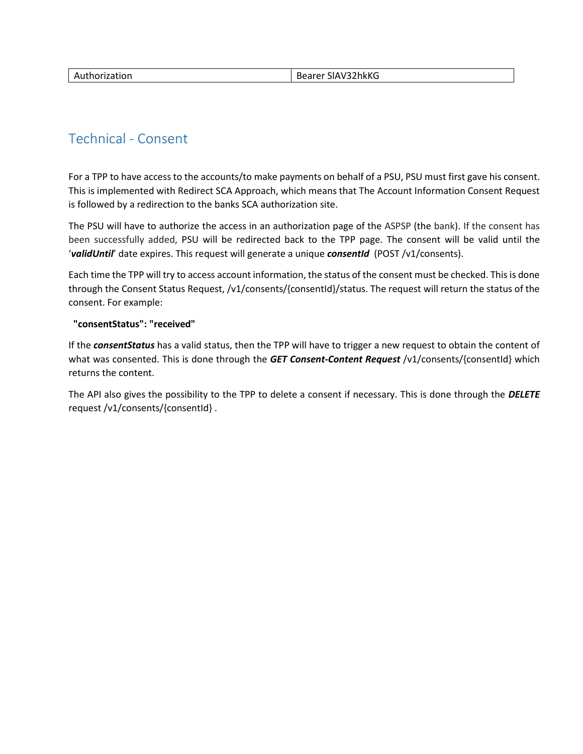| Authorization | Bearer SIAV32hkKG |
|---------------|-------------------|
|               |                   |

# [Technical -](https://176.223.226.28:9443/store/apis/info?name=EXIM-API&version=1.0.0&provider=admin#/Technical%20-%20Consent) Consent

For a TPP to have access to the accounts/to make payments on behalf of a PSU, PSU must first gave his consent. This is implemented with Redirect SCA Approach, which means that The Account Information Consent Request is followed by a redirection to the banks SCA authorization site.

The PSU will have to authorize the access in an authorization page of the ASPSP (the bank). If the consent has been successfully added, PSU will be redirected back to the TPP page. The consent will be valid until the '*validUntil*' date expires. This request will generate a unique *consentId* (POST /v1/consents).

Each time the TPP will try to access account information, the status of the consent must be checked. This is done through the Consent Status Request, /v1/consents/{consentId}/status. The request will return the status of the consent. For example:

### **"consentStatus": "received"**

If the *consentStatus* has a valid status, then the TPP will have to trigger a new request to obtain the content of what was consented. This is done through the *GET Consent-Content Request* [/v1/consents/{consentId}](https://176.223.226.28:9443/store/apis/info?name=EXIM-API&version=1.0.0&provider=admin#/operations/Technical%20-%20Consent/get_v1_consents__consentId_) which returns the content.

The API also gives the possibility to the TPP to delete a consent if necessary. This is done through the *DELETE* request [/v1/consents/{consentId}](https://176.223.226.28:9443/store/apis/info?name=EXIM-API&version=1.0.0&provider=admin#/operations/Technical%20-%20Consent/delete_v1_consents__consentId_) .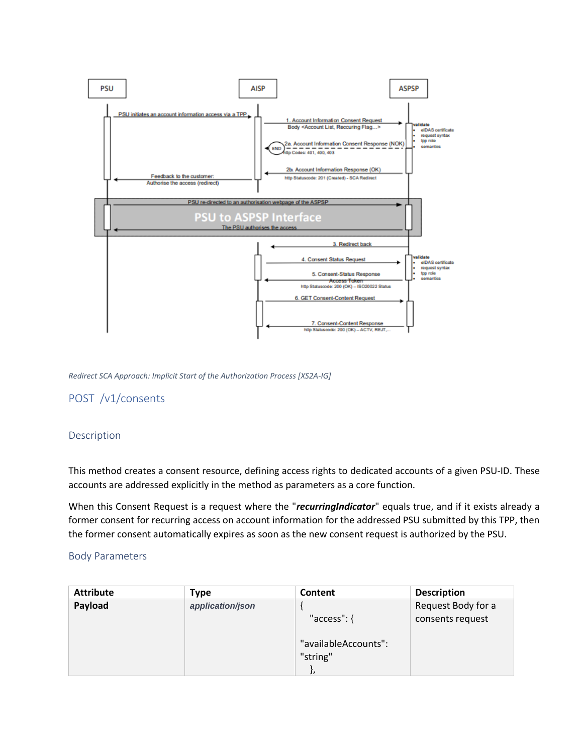

*Redirect SCA Approach: Implicit Start of the Authorization Process [XS2A-IG]*

# POST /v1/consents

#### Description

This method creates a consent resource, defining access rights to dedicated accounts of a given PSU-ID. These accounts are addressed explicitly in the method as parameters as a core function.

When this Consent Request is a request where the "*recurringIndicator*" equals true, and if it exists already a former consent for recurring access on account information for the addressed PSU submitted by this TPP, then the former consent automatically expires as soon as the new consent request is authorized by the PSU.

#### Body Parameters

| <b>Attribute</b> | Type             | Content                          | <b>Description</b> |
|------------------|------------------|----------------------------------|--------------------|
| Payload          | application/json |                                  | Request Body for a |
|                  |                  | " $access$ ": {                  | consents request   |
|                  |                  | "availableAccounts":<br>"string" |                    |
|                  |                  |                                  |                    |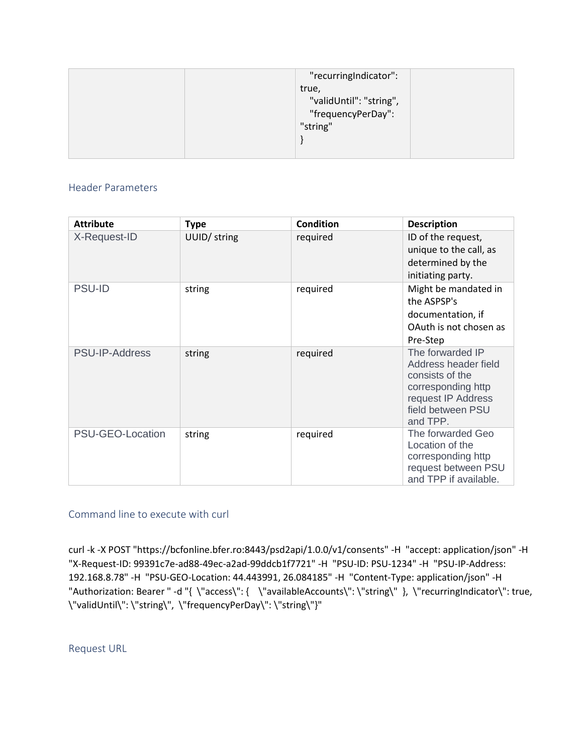| "recurringIndicator":   |  |
|-------------------------|--|
| true,                   |  |
| "validUntil": "string", |  |
| "frequencyPerDay":      |  |
| "string"                |  |
|                         |  |
|                         |  |

## Header Parameters

| <b>Attribute</b>      | <b>Type</b>  | <b>Condition</b> | <b>Description</b>                                                                                                                       |
|-----------------------|--------------|------------------|------------------------------------------------------------------------------------------------------------------------------------------|
| X-Request-ID          | UUID/ string | required         | ID of the request,<br>unique to the call, as<br>determined by the<br>initiating party.                                                   |
| <b>PSU-ID</b>         | string       | required         | Might be mandated in<br>the ASPSP's<br>documentation, if<br>OAuth is not chosen as<br>Pre-Step                                           |
| <b>PSU-IP-Address</b> | string       | required         | The forwarded IP<br>Address header field<br>consists of the<br>corresponding http<br>request IP Address<br>field between PSU<br>and TPP. |
| PSU-GEO-Location      | string       | required         | The forwarded Geo<br>Location of the<br>corresponding http<br>request between PSU<br>and TPP if available.                               |

# Command line to execute with curl

curl -k -X POST "https://bcfonline.bfer.ro:8443/psd2api/1.0.0/v1/consents" -H "accept: application/json" -H "X-Request-ID: 99391c7e-ad88-49ec-a2ad-99ddcb1f7721" -H "PSU-ID: PSU-1234" -H "PSU-IP-Address: 192.168.8.78" -H "PSU-GEO-Location: 44.443991, 26.084185" -H "Content-Type: application/json" -H "Authorization: Bearer " -d "{ \"access\": { \"availableAccounts\": \"string\" }, \"recurringIndicator\": true, \"validUntil\": \"string\", \"frequencyPerDay\": \"string\"}"

Request URL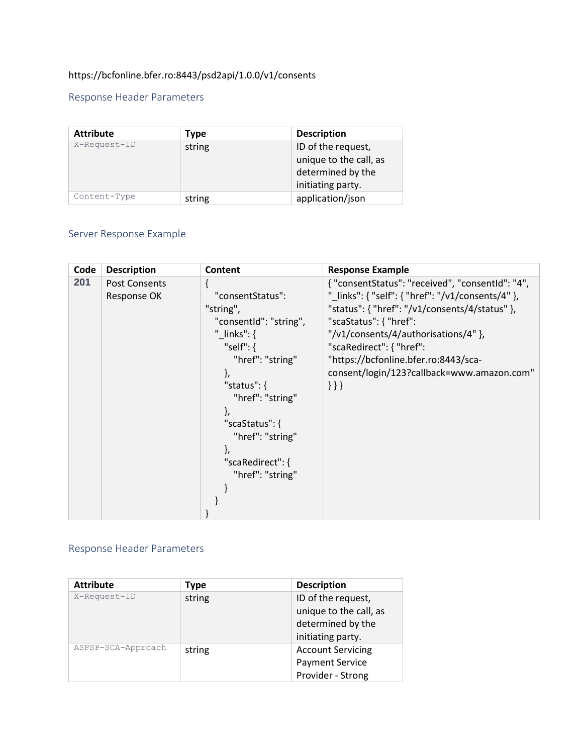# <https://bcfonline.bfer.ro:8443/psd2api/1.0.0/v1/consents>

# Response Header Parameters

| <b>Attribute</b> | Type   | <b>Description</b>                                                                     |
|------------------|--------|----------------------------------------------------------------------------------------|
| X-Request-ID     | string | ID of the request,<br>unique to the call, as<br>determined by the<br>initiating party. |
| Content-Type     | string | application/json                                                                       |

# Server Response Example

| Code | <b>Description</b>                  | Content                                                                                                                                                                                                                                       | <b>Response Example</b>                                                                                                                                                                                                                                                                                                                               |
|------|-------------------------------------|-----------------------------------------------------------------------------------------------------------------------------------------------------------------------------------------------------------------------------------------------|-------------------------------------------------------------------------------------------------------------------------------------------------------------------------------------------------------------------------------------------------------------------------------------------------------------------------------------------------------|
| 201  | <b>Post Consents</b><br>Response OK | "consentStatus":<br>"string",<br>"consentid": "string",<br>" $links$ ": {<br>"self": $\{$<br>"href": "string"<br>ł,<br>"status": $\{$<br>"href": "string"<br>"scaStatus": {<br>"href": "string"<br>ì,<br>"scaRedirect": {<br>"href": "string" | { "consentStatus": "received", "consentId": "4",<br>" links": { "self": { "href": "/v1/consents/4" },<br>"status": { "href": "/v1/consents/4/status" },<br>"scaStatus": { "href":<br>"/v1/consents/4/authorisations/4" },<br>"scaRedirect": { "href":<br>"https://bcfonline.bfer.ro:8443/sca-<br>consent/login/123?callback=www.amazon.com"<br>$\{\}$ |

# Response Header Parameters

| <b>Attribute</b>   | Type                               | <b>Description</b>     |
|--------------------|------------------------------------|------------------------|
| X-Request-ID       | ID of the request,<br>string       |                        |
|                    | unique to the call, as             |                        |
|                    |                                    | determined by the      |
|                    |                                    | initiating party.      |
| ASPSP-SCA-Approach | <b>Account Servicing</b><br>string |                        |
|                    |                                    | <b>Payment Service</b> |
|                    |                                    | Provider - Strong      |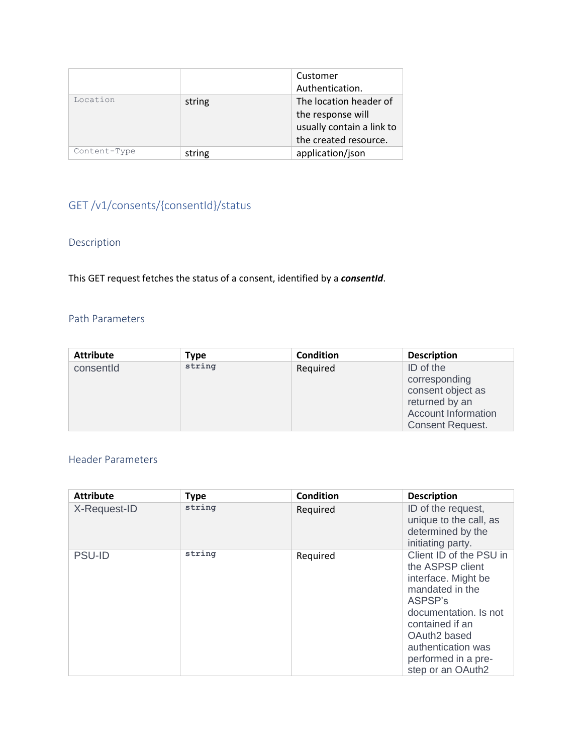|              |        | Customer                  |  |
|--------------|--------|---------------------------|--|
|              |        | Authentication.           |  |
| Location     | string | The location header of    |  |
|              |        | the response will         |  |
|              |        | usually contain a link to |  |
|              |        | the created resource.     |  |
| Content-Type | string | application/json          |  |

# GET /v1/consents/{consentId}/status

# Description

This GET request fetches the status of a consent, identified by a *consentId*.

## Path Parameters

| <b>Attribute</b> | Type   | <b>Condition</b> | <b>Description</b>         |
|------------------|--------|------------------|----------------------------|
| consentId        | string | Required         | ID of the                  |
|                  |        |                  | corresponding              |
|                  |        |                  | consent object as          |
|                  |        |                  | returned by an             |
|                  |        |                  | <b>Account Information</b> |
|                  |        |                  | <b>Consent Request.</b>    |

| <b>Attribute</b> | <b>Type</b> | <b>Condition</b> | <b>Description</b>                                                                                                                                                                                                                         |
|------------------|-------------|------------------|--------------------------------------------------------------------------------------------------------------------------------------------------------------------------------------------------------------------------------------------|
| X-Request-ID     | string      | Required         | ID of the request,<br>unique to the call, as<br>determined by the<br>initiating party.                                                                                                                                                     |
| <b>PSU-ID</b>    | string      | Required         | Client ID of the PSU in<br>the ASPSP client<br>interface. Might be<br>mandated in the<br>ASPSP's<br>documentation. Is not<br>contained if an<br>OAuth <sub>2</sub> based<br>authentication was<br>performed in a pre-<br>step or an OAuth2 |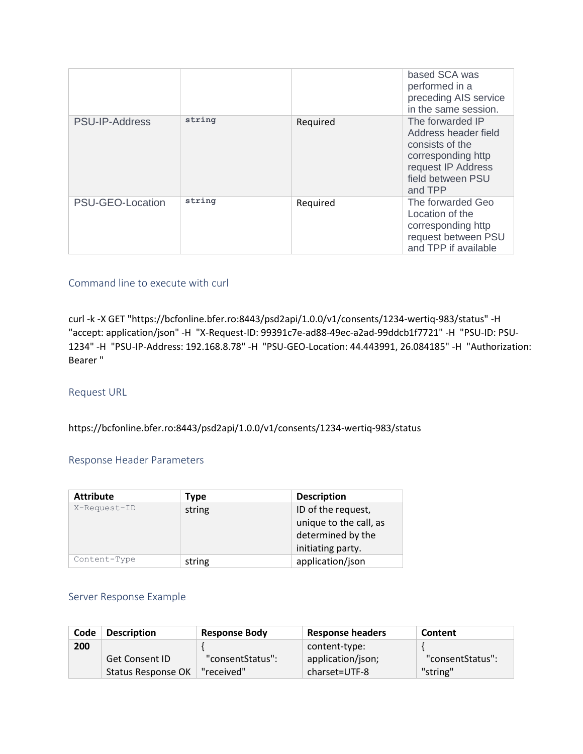|                  |        |          | based SCA was<br>performed in a<br>preceding AIS service<br>in the same session.                                                        |
|------------------|--------|----------|-----------------------------------------------------------------------------------------------------------------------------------------|
| PSU-IP-Address   | string | Required | The forwarded IP<br>Address header field<br>consists of the<br>corresponding http<br>request IP Address<br>field between PSU<br>and TPP |
| PSU-GEO-Location | string | Required | The forwarded Geo<br>Location of the<br>corresponding http<br>request between PSU<br>and TPP if available                               |

curl -k -X GET "https://bcfonline.bfer.ro:8443/psd2api/1.0.0/v1/consents/1234-wertiq-983/status" -H "accept: application/json" -H "X-Request-ID: 99391c7e-ad88-49ec-a2ad-99ddcb1f7721" -H "PSU-ID: PSU-1234" -H "PSU-IP-Address: 192.168.8.78" -H "PSU-GEO-Location: 44.443991, 26.084185" -H "Authorization: Bearer "

### Request URL

<https://bcfonline.bfer.ro:8443/psd2api/1.0.0/v1/consents/1234-wertiq-983/status>

#### Response Header Parameters

| <b>Attribute</b> | <b>Type</b> | <b>Description</b>                                                                     |
|------------------|-------------|----------------------------------------------------------------------------------------|
| X-Request-ID     | string      | ID of the request,<br>unique to the call, as<br>determined by the<br>initiating party. |
| Content-Type     | string      | application/json                                                                       |

#### Server Response Example

| Code | <b>Description</b>    | <b>Response Body</b> | <b>Response headers</b> | Content          |
|------|-----------------------|----------------------|-------------------------|------------------|
| 200  |                       |                      | content-type:           |                  |
|      | <b>Get Consent ID</b> | "consentStatus":     | application/json;       | "consentStatus": |
|      | Status Response OK    | "received"           | charset=UTF-8           | "string"         |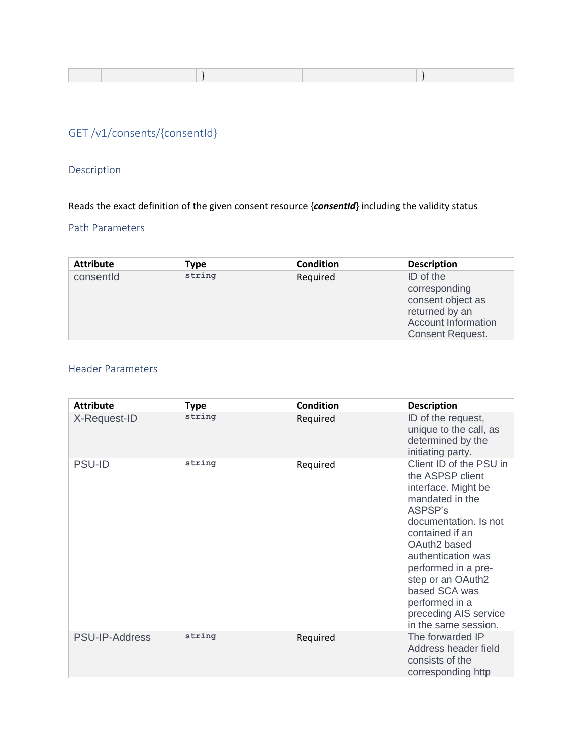|--|--|--|

# GET [/v1/consents/{consentId}](https://176.223.226.28:9443/store/apis/info?name=EXIM-API&version=1.0.0&provider=admin#/operations/Technical%20-%20Consent/get_v1_consents__consentId_)

# Description

Reads the exact definition of the given consent resource {*consentId*} including the validity status

## Path Parameters

| <b>Attribute</b> | <b>Type</b> | <b>Condition</b> | <b>Description</b>         |
|------------------|-------------|------------------|----------------------------|
| consentId        | string      | Required         | ID of the                  |
|                  |             |                  | corresponding              |
|                  |             |                  | consent object as          |
|                  |             |                  | returned by an             |
|                  |             |                  | <b>Account Information</b> |
|                  |             |                  | <b>Consent Request.</b>    |

| <b>Attribute</b> | <b>Type</b> | <b>Condition</b> | <b>Description</b>                                                                                                                                                                                                                                                                                                 |
|------------------|-------------|------------------|--------------------------------------------------------------------------------------------------------------------------------------------------------------------------------------------------------------------------------------------------------------------------------------------------------------------|
| X-Request-ID     | string      | Required         | ID of the request,<br>unique to the call, as<br>determined by the<br>initiating party.                                                                                                                                                                                                                             |
| <b>PSU-ID</b>    | string      | Required         | Client ID of the PSU in<br>the ASPSP client<br>interface. Might be<br>mandated in the<br>ASPSP's<br>documentation. Is not<br>contained if an<br>OAuth2 based<br>authentication was<br>performed in a pre-<br>step or an OAuth2<br>based SCA was<br>performed in a<br>preceding AIS service<br>in the same session. |
| PSU-IP-Address   | string      | Required         | The forwarded IP<br>Address header field<br>consists of the<br>corresponding http                                                                                                                                                                                                                                  |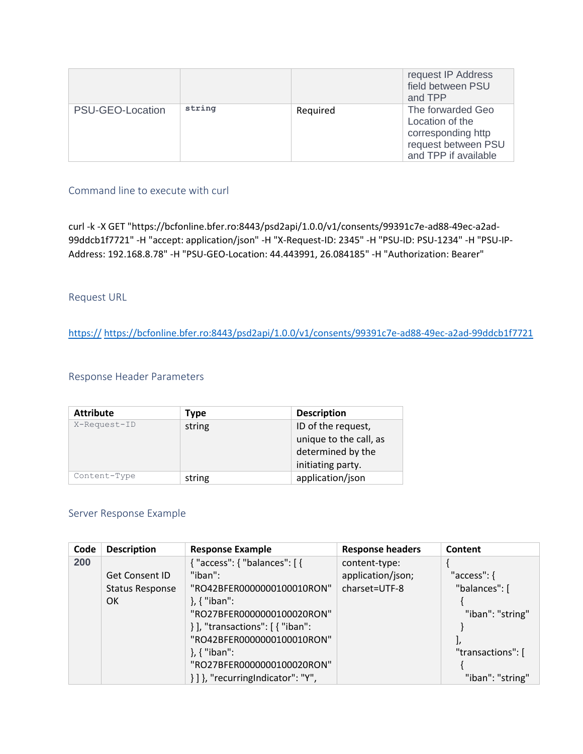|                  |        |          | request IP Address<br>field between PSU<br>and TPP                                                        |
|------------------|--------|----------|-----------------------------------------------------------------------------------------------------------|
| PSU-GEO-Location | string | Required | The forwarded Geo<br>Location of the<br>corresponding http<br>request between PSU<br>and TPP if available |

curl -k -X GET "https://bcfonline.bfer.ro:8443/psd2api/1.0.0/v1/consents/99391c7e-ad88-49ec-a2ad-99ddcb1f7721" -H "accept: application/json" -H "X-Request-ID: 2345" -H "PSU-ID: PSU-1234" -H "PSU-IP-Address: 192.168.8.78" -H "PSU-GEO-Location: 44.443991, 26.084185" -H "Authorization: Bearer"

### Request URL

https:// [https://bcfonline.bfer.ro:8443/psd2api/1.0.0/v1/consents/99391c7e-ad88-49ec-a2ad-99ddcb1f7721](https://https/bcfonline.bfer.ro:8443/psd2api/1.0.0/v1/consents/99391c7e-ad88-49ec-a2ad-99ddcb1f7721)

### Response Header Parameters

| <b>Attribute</b> | <b>Type</b>                                                                 | <b>Description</b> |
|------------------|-----------------------------------------------------------------------------|--------------------|
| X-Request-ID     | ID of the request,<br>string<br>unique to the call, as<br>determined by the |                    |
|                  |                                                                             | initiating party.  |
| Content-Type     | string                                                                      | application/json   |

### Server Response Example

| Code | <b>Description</b>     | <b>Response Example</b>               | <b>Response headers</b> | Content           |
|------|------------------------|---------------------------------------|-------------------------|-------------------|
| 200  |                        | { "access": { "balances": [ {         | content-type:           |                   |
|      | <b>Get Consent ID</b>  | "iban":                               | application/json;       | "access": {       |
|      | <b>Status Response</b> | "RO42BFER0000000100010RON"            | charset=UTF-8           | "balances": [     |
|      | OK                     | $\}$ , { "iban":                      |                         |                   |
|      |                        | "RO27BFER0000000100020RON"            |                         | "iban": "string"  |
|      |                        | } ], "transactions": [ { "iban":      |                         |                   |
|      |                        | "RO42BFER0000000100010RON"            |                         |                   |
|      |                        | $\}$ , { "iban":                      |                         | "transactions": [ |
|      |                        | "RO27BFER0000000100020RON"            |                         |                   |
|      |                        | $\{\}\$ . "recurring Indicator": "Y", |                         | "iban": "string"  |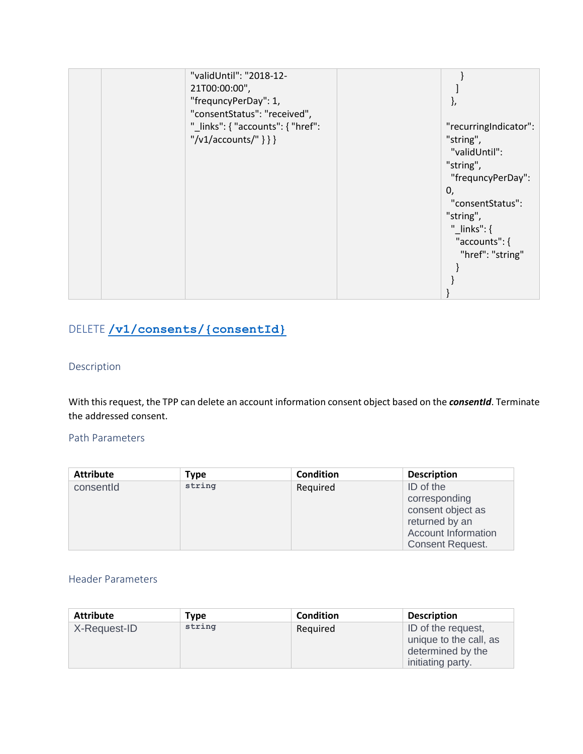| "validUntil": "2018-12-           |                       |
|-----------------------------------|-----------------------|
| 21T00:00:00",                     |                       |
| "frequncyPerDay": 1,              | ſ,                    |
| "consentStatus": "received",      |                       |
| "_links": { "accounts": { "href": | "recurringIndicator": |
| $"\/v1/accounds/"\}$ }}           | "string",             |
|                                   | "validUntil":         |
|                                   | "string",             |
|                                   | "frequncyPerDay":     |
|                                   | 0,                    |
|                                   | "consentStatus":      |
|                                   | "string",             |
|                                   | "_links": $\{$        |
|                                   | "accounts": {         |
|                                   | "href": "string"      |
|                                   |                       |
|                                   |                       |
|                                   |                       |

# DELETE **[/v1/consents/{consentId}](https://176.223.226.28:9443/store/apis/info?name=EXIM-API&version=1.0.0&provider=admin#/operations/Technical%20-%20Consent/delete_v1_consents__consentId_)**

## Description

With this request, the TPP can delete an account information consent object based on the *consentId*. Terminate the addressed consent.

#### Path Parameters

| <b>Type</b> | <b>Condition</b> | <b>Description</b>                                                                                                         |
|-------------|------------------|----------------------------------------------------------------------------------------------------------------------------|
| string      | Required         | ID of the<br>corresponding<br>consent object as<br>returned by an<br><b>Account Information</b><br><b>Consent Request.</b> |
|             |                  |                                                                                                                            |

| <b>Attribute</b> | Type   | <b>Condition</b> | <b>Description</b>                                                                     |
|------------------|--------|------------------|----------------------------------------------------------------------------------------|
| X-Request-ID     | string | Required         | ID of the request,<br>unique to the call, as<br>determined by the<br>initiating party. |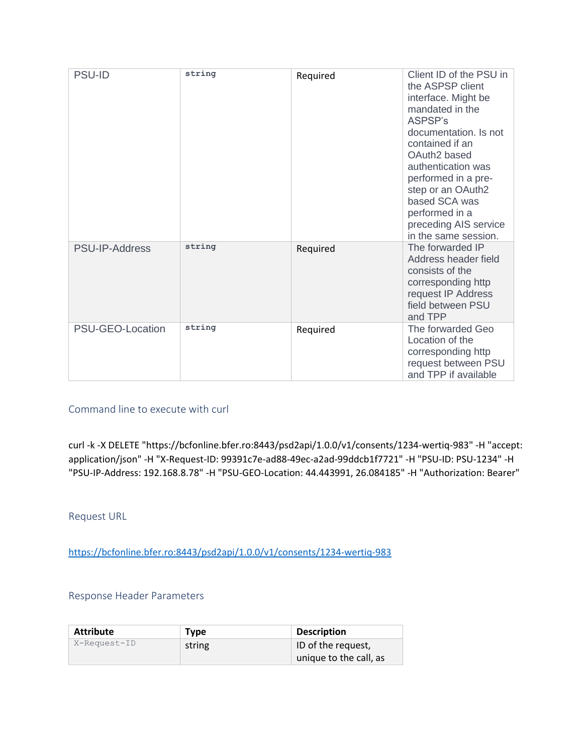| <b>PSU-ID</b>    | string | Required | Client ID of the PSU in<br>the ASPSP client<br>interface. Might be<br>mandated in the<br>ASPSP's<br>documentation. Is not<br>contained if an<br>OAuth <sub>2</sub> based<br>authentication was<br>performed in a pre-<br>step or an OAuth2<br>based SCA was<br>performed in a<br>preceding AIS service<br>in the same session. |
|------------------|--------|----------|--------------------------------------------------------------------------------------------------------------------------------------------------------------------------------------------------------------------------------------------------------------------------------------------------------------------------------|
| PSU-IP-Address   | string | Required | The forwarded IP<br>Address header field<br>consists of the<br>corresponding http<br>request IP Address<br>field between PSU<br>and TPP                                                                                                                                                                                        |
| PSU-GEO-Location | string | Required | The forwarded Geo<br>Location of the<br>corresponding http<br>request between PSU<br>and TPP if available                                                                                                                                                                                                                      |

curl -k -X DELETE "https://bcfonline.bfer.ro:8443/psd2api/1.0.0/v1/consents/1234-wertiq-983" -H "accept: application/json" -H "X-Request-ID: 99391c7e-ad88-49ec-a2ad-99ddcb1f7721" -H "PSU-ID: PSU-1234" -H "PSU-IP-Address: 192.168.8.78" -H "PSU-GEO-Location: 44.443991, 26.084185" -H "Authorization: Bearer"

Request URL

<https://bcfonline.bfer.ro:8443/psd2api/1.0.0/v1/consents/1234-wertiq-983>

#### Response Header Parameters

| <b>Attribute</b> | Type   | <b>Description</b>     |
|------------------|--------|------------------------|
| X-Request-ID     | string | ID of the request,     |
|                  |        | unique to the call, as |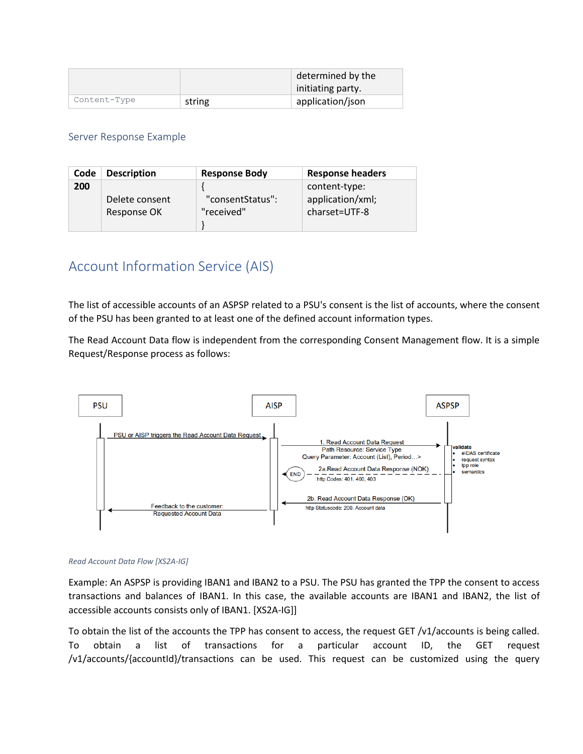|              |        | determined by the |
|--------------|--------|-------------------|
|              |        | initiating party. |
| Content-Type | string | application/json  |

#### Server Response Example

| Code | <b>Description</b> | <b>Response Body</b> | <b>Response headers</b> |
|------|--------------------|----------------------|-------------------------|
| 200  |                    |                      | content-type:           |
|      | Delete consent     | "consentStatus":     | application/xml;        |
|      | Response OK        | "received"           | charset=UTF-8           |
|      |                    |                      |                         |

# Account Information Service (AIS)

The list of accessible accounts of an ASPSP related to a PSU's consent is the list of accounts, where the consent of the PSU has been granted to at least one of the defined account information types.

The Read Account Data flow is independent from the corresponding Consent Management flow. It is a simple Request/Response process as follows:



#### *Read Account Data Flow [XS2A-IG]*

Example: An ASPSP is providing IBAN1 and IBAN2 to a PSU. The PSU has granted the TPP the consent to access transactions and balances of IBAN1. In this case, the available accounts are IBAN1 and IBAN2, the list of accessible accounts consists only of IBAN1. [XS2A-IG]]

To obtain the list of the accounts the TPP has consent to access, the request GET /v1/accounts is being called. To obtain a list of transactions for a particular account ID, the GET request /v1/accounts/{accountId}/transactions can be used. This request can be customized using the query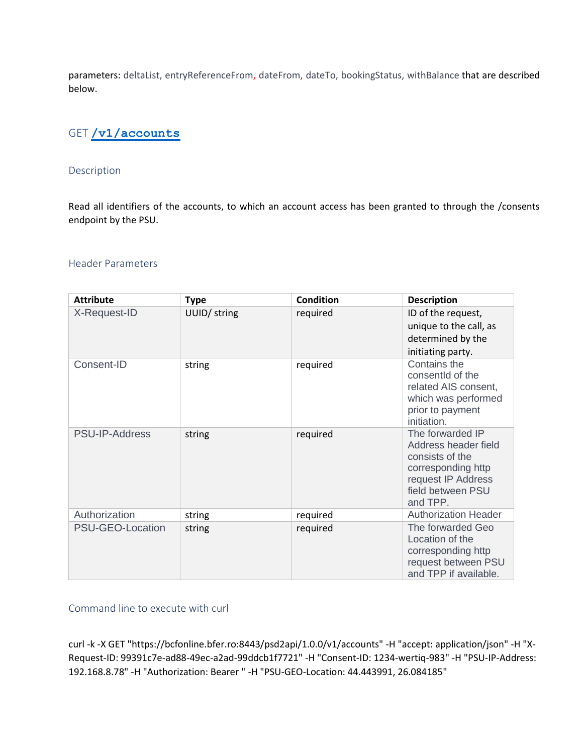parameters: deltaList, entryReferenceFrom, dateFrom, dateTo, bookingStatus, withBalance that are described below.

# GET **[/v1/accounts](https://176.223.226.28:9443/store/apis/info?name=EXIM-API&version=1.0.0&provider=admin#/operations/Account%20Information%20Service%20(AIS)/get_v1_accounts)**

#### Description

Read all identifiers of the accounts, to which an account access has been granted to through the /consents endpoint by the PSU.

#### Header Parameters

| <b>Attribute</b> | <b>Type</b>  | <b>Condition</b> | <b>Description</b>                                                                                                                       |
|------------------|--------------|------------------|------------------------------------------------------------------------------------------------------------------------------------------|
| X-Request-ID     | UUID/ string | required         | ID of the request,<br>unique to the call, as<br>determined by the<br>initiating party.                                                   |
| Consent-ID       | string       | required         | Contains the<br>consentid of the<br>related AIS consent,<br>which was performed<br>prior to payment<br>initiation.                       |
| PSU-IP-Address   | string       | required         | The forwarded IP<br>Address header field<br>consists of the<br>corresponding http<br>request IP Address<br>field between PSU<br>and TPP. |
| Authorization    | string       | required         | <b>Authorization Header</b>                                                                                                              |
| PSU-GEO-Location | string       | required         | The forwarded Geo<br>Location of the<br>corresponding http<br>request between PSU<br>and TPP if available.                               |

### Command line to execute with curl

curl -k -X GET "https://bcfonline.bfer.ro:8443/psd2api/1.0.0/v1/accounts" -H "accept: application/json" -H "X-Request-ID: 99391c7e-ad88-49ec-a2ad-99ddcb1f7721" -H "Consent-ID: 1234-wertiq-983" -H "PSU-IP-Address: 192.168.8.78" -H "Authorization: Bearer " -H "PSU-GEO-Location: 44.443991, 26.084185"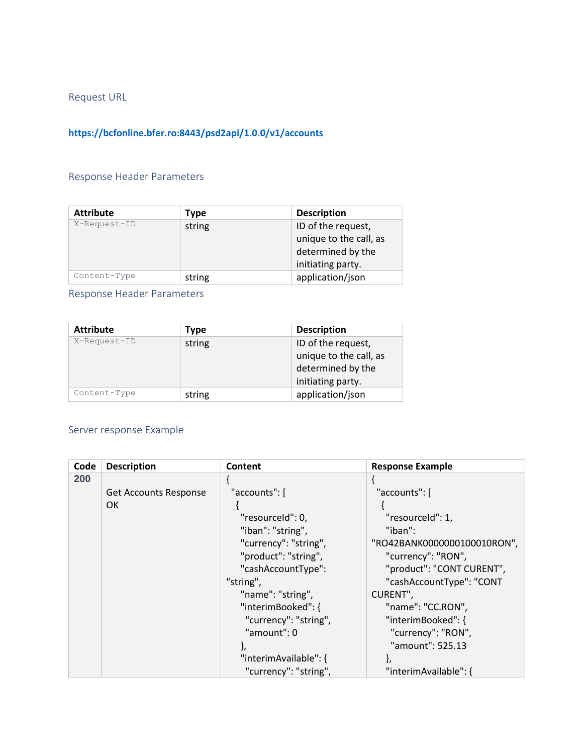Request URL

# **<https://bcfonline.bfer.ro:8443/psd2api/1.0.0/v1/accounts>**

# Response Header Parameters

| <b>Attribute</b> | Type   | <b>Description</b>     |
|------------------|--------|------------------------|
| X-Request-ID     | string | ID of the request,     |
|                  |        | unique to the call, as |
|                  |        | determined by the      |
|                  |        | initiating party.      |
| Content-Type     | string | application/json       |

Response Header Parameters

| <b>Attribute</b> | <b>Type</b> | <b>Description</b>     |  |
|------------------|-------------|------------------------|--|
| X-Request-ID     | string      | ID of the request,     |  |
|                  |             | unique to the call, as |  |
|                  |             | determined by the      |  |
|                  |             | initiating party.      |  |
| Content-Type     | string      | application/json       |  |

# Server response Example

| Code | <b>Description</b>           | Content               | <b>Response Example</b>     |
|------|------------------------------|-----------------------|-----------------------------|
| 200  |                              |                       |                             |
|      | <b>Get Accounts Response</b> | "accounts": [         | "accounts": [               |
|      | <b>OK</b>                    |                       |                             |
|      |                              | "resourceld": 0,      | "resourceId": 1,            |
|      |                              | "iban": "string",     | "iban":                     |
|      |                              | "currency": "string", | "RO42BANK0000000100010RON", |
|      |                              | "product": "string",  | "currency": "RON",          |
|      |                              | "cashAccountType":    | "product": "CONT CURENT",   |
|      |                              | "string",             | "cashAccountType": "CONT    |
|      |                              | "name": "string",     | CURENT",                    |
|      |                              | "interimBooked": {    | "name": "CC.RON",           |
|      |                              | "currency": "string", | "interimBooked": {          |
|      |                              | "amount": 0           | "currency": "RON",          |
|      |                              |                       | "amount": 525.13            |
|      |                              | "interimAvailable": { |                             |
|      |                              | "currency": "string", | "interimAvailable": {       |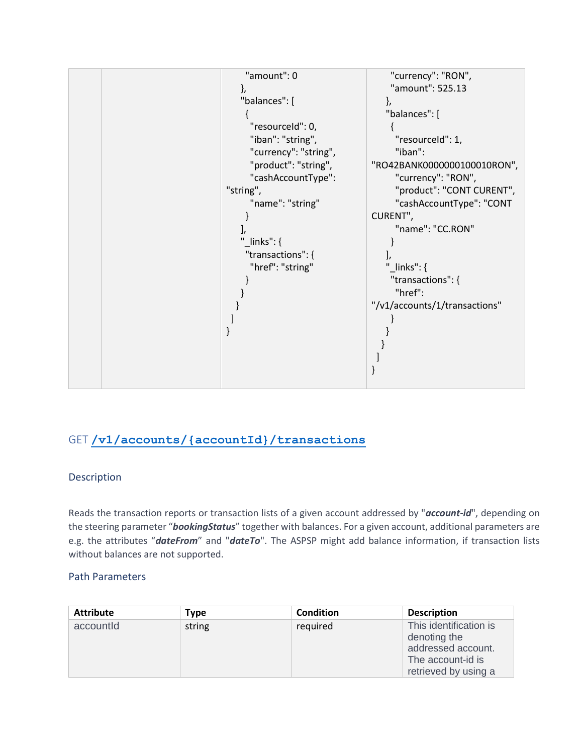

# GET **[/v1/accounts/{accountId}/transactions](https://176.223.226.28:9443/store/apis/info?name=EXIM-API&version=1.0.0&provider=admin#/operations/Account%20Information%20Service%20(AIS)/get_v1_accounts__accountId__transactions)**

### Description

Reads the transaction reports or transaction lists of a given account addressed by "*account-id*", depending on the steering parameter "*bookingStatus*" together with balances. For a given account, additional parameters are e.g. the attributes "*dateFrom*" and "*dateTo*". The ASPSP might add balance information, if transaction lists without balances are not supported.

### Path Parameters

| <b>Attribute</b> | Type   | <b>Condition</b> | <b>Description</b>                                                                                        |
|------------------|--------|------------------|-----------------------------------------------------------------------------------------------------------|
| accountld        | string | required         | This identification is<br>denoting the<br>addressed account.<br>The account-id is<br>retrieved by using a |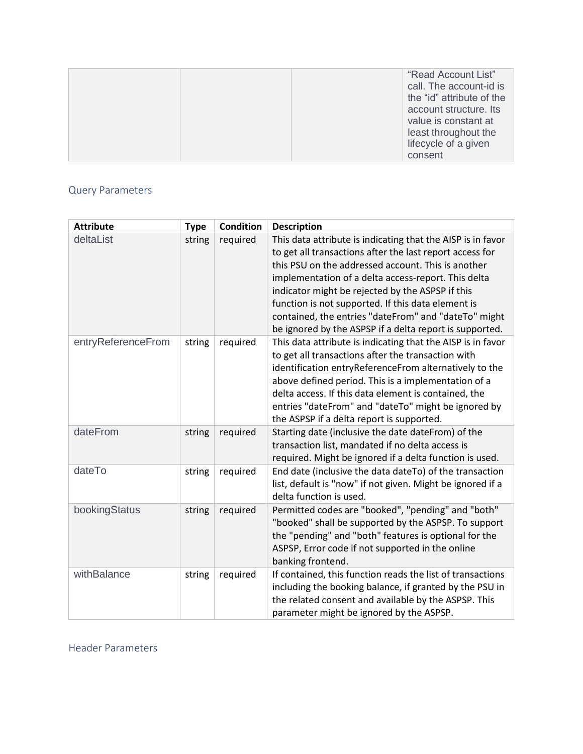|                      | "Read Account List"       |
|----------------------|---------------------------|
|                      | call. The account-id is   |
|                      | the "id" attribute of the |
|                      | account structure. Its    |
|                      | value is constant at      |
|                      | least throughout the      |
| lifecycle of a given |                           |
| consent              |                           |

# Query Parameters

| <b>Attribute</b>   | <b>Type</b> | <b>Condition</b> | <b>Description</b>                                                                                                                                                                                                                                                                                                                                                                                                                                                |
|--------------------|-------------|------------------|-------------------------------------------------------------------------------------------------------------------------------------------------------------------------------------------------------------------------------------------------------------------------------------------------------------------------------------------------------------------------------------------------------------------------------------------------------------------|
| deltaList          | string      | required         | This data attribute is indicating that the AISP is in favor<br>to get all transactions after the last report access for<br>this PSU on the addressed account. This is another<br>implementation of a delta access-report. This delta<br>indicator might be rejected by the ASPSP if this<br>function is not supported. If this data element is<br>contained, the entries "dateFrom" and "dateTo" might<br>be ignored by the ASPSP if a delta report is supported. |
| entryReferenceFrom | string      | required         | This data attribute is indicating that the AISP is in favor<br>to get all transactions after the transaction with<br>identification entryReferenceFrom alternatively to the<br>above defined period. This is a implementation of a<br>delta access. If this data element is contained, the<br>entries "dateFrom" and "dateTo" might be ignored by<br>the ASPSP if a delta report is supported.                                                                    |
| dateFrom           | string      | required         | Starting date (inclusive the date dateFrom) of the<br>transaction list, mandated if no delta access is<br>required. Might be ignored if a delta function is used.                                                                                                                                                                                                                                                                                                 |
| dateTo             | string      | required         | End date (inclusive the data dateTo) of the transaction<br>list, default is "now" if not given. Might be ignored if a<br>delta function is used.                                                                                                                                                                                                                                                                                                                  |
| bookingStatus      | string      | required         | Permitted codes are "booked", "pending" and "both"<br>"booked" shall be supported by the ASPSP. To support<br>the "pending" and "both" features is optional for the<br>ASPSP, Error code if not supported in the online<br>banking frontend.                                                                                                                                                                                                                      |
| withBalance        | string      | required         | If contained, this function reads the list of transactions<br>including the booking balance, if granted by the PSU in<br>the related consent and available by the ASPSP. This<br>parameter might be ignored by the ASPSP.                                                                                                                                                                                                                                         |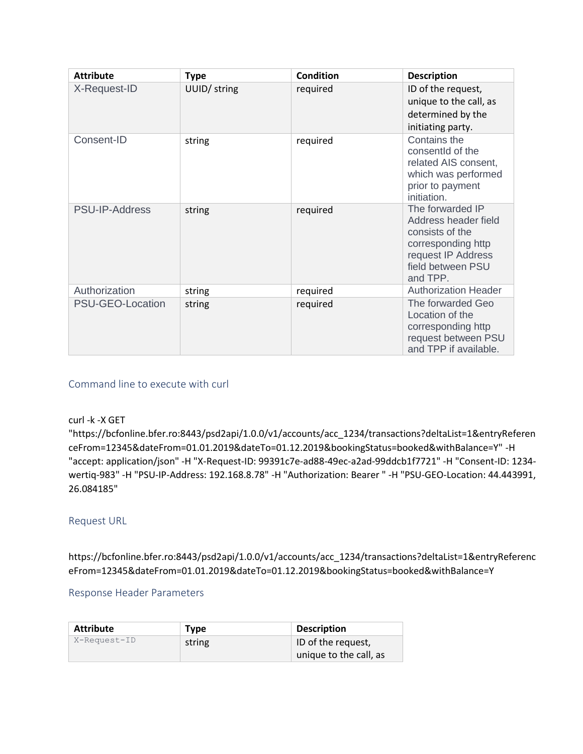| <b>Attribute</b> | <b>Type</b>  | <b>Condition</b> | <b>Description</b>                                                                                                                       |
|------------------|--------------|------------------|------------------------------------------------------------------------------------------------------------------------------------------|
| X-Request-ID     | UUID/ string | required         | ID of the request,<br>unique to the call, as<br>determined by the<br>initiating party.                                                   |
| Consent-ID       | string       | required         | Contains the<br>consentId of the<br>related AIS consent,<br>which was performed<br>prior to payment<br>initiation.                       |
| PSU-IP-Address   | string       | required         | The forwarded IP<br>Address header field<br>consists of the<br>corresponding http<br>request IP Address<br>field between PSU<br>and TPP. |
| Authorization    | string       | required         | <b>Authorization Header</b>                                                                                                              |
| PSU-GEO-Location | string       | required         | The forwarded Geo<br>Location of the<br>corresponding http<br>request between PSU<br>and TPP if available.                               |

#### curl -k -X GET

"https://bcfonline.bfer.ro:8443/psd2api/1.0.0/v1/accounts/acc\_1234/transactions?deltaList=1&entryReferen ceFrom=12345&dateFrom=01.01.2019&dateTo=01.12.2019&bookingStatus=booked&withBalance=Y" -H "accept: application/json" -H "X-Request-ID: 99391c7e-ad88-49ec-a2ad-99ddcb1f7721" -H "Consent-ID: 1234 wertiq-983" -H "PSU-IP-Address: 192.168.8.78" -H "Authorization: Bearer " -H "PSU-GEO-Location: 44.443991, 26.084185"

### Request URL

https://bcfonline.bfer.ro:8443/psd2api/1.0.0/v1/accounts/acc\_1234/transactions?deltaList=1&entryReferenc eFrom=12345&dateFrom=01.01.2019&dateTo=01.12.2019&bookingStatus=booked&withBalance=Y

#### Response Header Parameters

| <b>Attribute</b> | <b>Type</b> | <b>Description</b>     |
|------------------|-------------|------------------------|
| X-Request-ID     | string      | ID of the request,     |
|                  |             | unique to the call, as |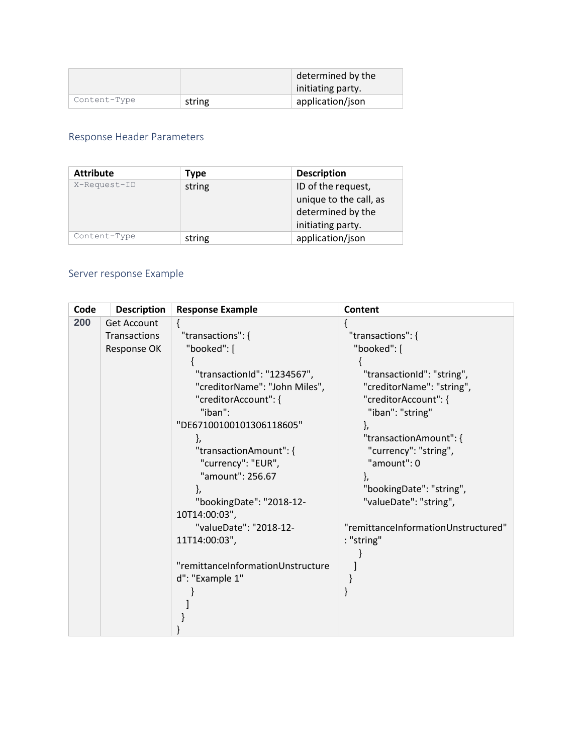|              |        | determined by the |
|--------------|--------|-------------------|
|              |        | initiating party. |
| Content-Type | string | application/json  |

# Response Header Parameters

| <b>Attribute</b> | Type   | <b>Description</b>                                                                     |
|------------------|--------|----------------------------------------------------------------------------------------|
| X-Request-ID     | string | ID of the request,<br>unique to the call, as<br>determined by the<br>initiating party. |
| Content-Type     | string | application/json                                                                       |

# Server response Example

| Code | <b>Description</b> | <b>Response Example</b>           | Content                             |
|------|--------------------|-----------------------------------|-------------------------------------|
| 200  | <b>Get Account</b> | ₹                                 |                                     |
|      | Transactions       | "transactions": {                 | "transactions": {                   |
|      | Response OK        | "booked": [                       | "booked": [                         |
|      |                    |                                   |                                     |
|      |                    | "transactionId": "1234567",       | "transactionId": "string",          |
|      |                    | "creditorName": "John Miles",     | "creditorName": "string",           |
|      |                    | "creditorAccount": {              | "creditorAccount": {                |
|      |                    | "iban":                           | "iban": "string"                    |
|      |                    | "DE67100100101306118605"          |                                     |
|      |                    | ł,                                | "transactionAmount": {              |
|      |                    | "transactionAmount": {            | "currency": "string",               |
|      |                    | "currency": "EUR",                | "amount": 0                         |
|      |                    | "amount": 256.67                  |                                     |
|      |                    |                                   | "bookingDate": "string",            |
|      |                    | "bookingDate": "2018-12-          | "valueDate": "string",              |
|      |                    | 10T14:00:03",                     |                                     |
|      |                    | "valueDate": "2018-12-            | "remittanceInformationUnstructured" |
|      |                    | 11T14:00:03",                     | : "string"                          |
|      |                    |                                   |                                     |
|      |                    | "remittanceInformationUnstructure |                                     |
|      |                    | d": "Example 1"                   |                                     |
|      |                    |                                   |                                     |
|      |                    |                                   |                                     |
|      |                    |                                   |                                     |
|      |                    |                                   |                                     |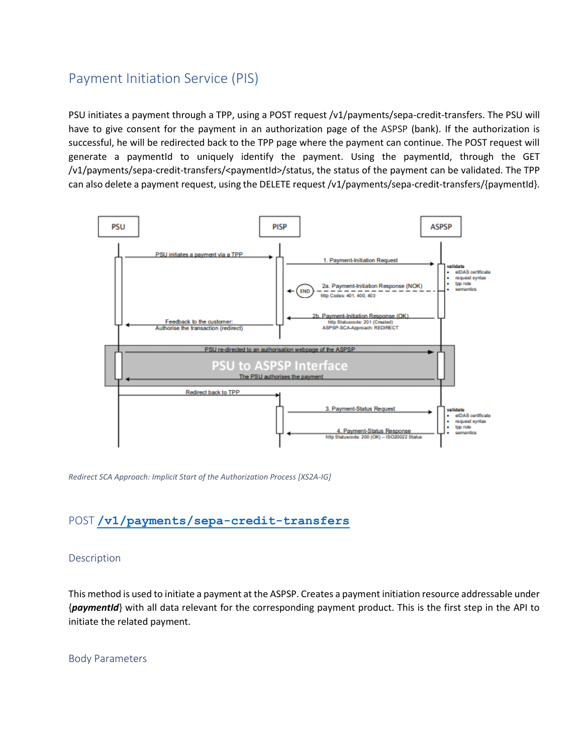# Payment Initiation Service (PIS)

PSU initiates a payment through a TPP, using a POST request /v1/payments/sepa-credit-transfers. The PSU will have to give consent for the payment in an authorization page of the ASPSP (bank). If the authorization is successful, he will be redirected back to the TPP page where the payment can continue. The POST request will generate a paymentId to uniquely identify the payment. Using the paymentId, through the GET /v1/payments/sepa-credit-transfers/<paymentId>/status, the status of the payment can be validated. The TPP can also delete a payment request, using the DELETE request /v1/payments/sepa-credit-transfers/{paymentId}.



*Redirect SCA Approach: Implicit Start of the Authorization Process [XS2A-IG]*

# POST **[/v1/payments/sepa-credit-transfers](https://176.223.226.28:9443/store/apis/info?name=EXIM-API&version=1.0.0&provider=admin#/operations/Payment%20Initiation%20Service%20(PIS)/post_v1_payments_sepa_credit_transfers)**

#### Description

This method is used to initiate a payment at the ASPSP. Creates a payment initiation resource addressable under {*paymentId*} with all data relevant for the corresponding payment product. This is the first step in the API to initiate the related payment.

Body Parameters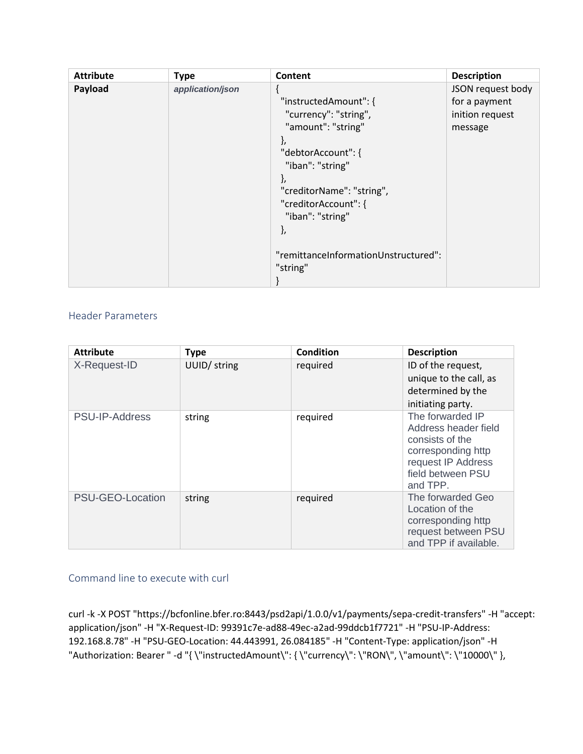| <b>Attribute</b> | <b>Type</b>      | Content                                                                                                                                                                                                                                                       | <b>Description</b>                                               |
|------------------|------------------|---------------------------------------------------------------------------------------------------------------------------------------------------------------------------------------------------------------------------------------------------------------|------------------------------------------------------------------|
| Payload          | application/json | "instructedAmount": {<br>"currency": "string",<br>"amount": "string"<br>ì,<br>"debtorAccount": {<br>"iban": "string"<br>ł,<br>"creditorName": "string",<br>"creditorAccount": {<br>"iban": "string"<br>},<br>"remittanceInformationUnstructured":<br>"string" | JSON request body<br>for a payment<br>inition request<br>message |

## Header Parameters

| <b>Attribute</b> | <b>Type</b>  | <b>Condition</b> | <b>Description</b>                                                                                                                       |
|------------------|--------------|------------------|------------------------------------------------------------------------------------------------------------------------------------------|
| X-Request-ID     | UUID/ string | required         | ID of the request,<br>unique to the call, as<br>determined by the<br>initiating party.                                                   |
| PSU-IP-Address   | string       | required         | The forwarded IP<br>Address header field<br>consists of the<br>corresponding http<br>request IP Address<br>field between PSU<br>and TPP. |
| PSU-GEO-Location | string       | required         | The forwarded Geo<br>Location of the<br>corresponding http<br>request between PSU<br>and TPP if available.                               |

# Command line to execute with curl

curl -k -X POST "https://bcfonline.bfer.ro:8443/psd2api/1.0.0/v1/payments/sepa-credit-transfers" -H "accept: application/json" -H "X-Request-ID: 99391c7e-ad88-49ec-a2ad-99ddcb1f7721" -H "PSU-IP-Address: 192.168.8.78" -H "PSU-GEO-Location: 44.443991, 26.084185" -H "Content-Type: application/json" -H "Authorization: Bearer " -d "{ \"instructedAmount\": { \"currency\": \"RON\", \"amount\": \"10000\" },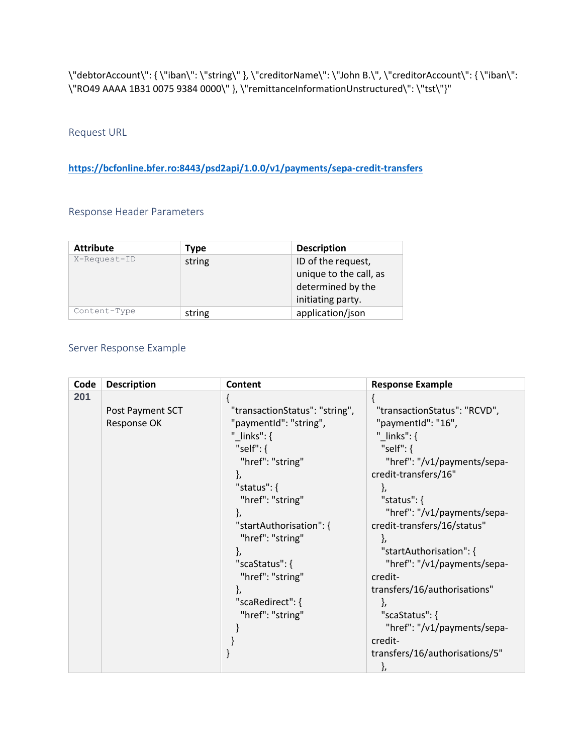\"debtorAccount\": { \"iban\": \"string\" }, \"creditorName\": \"John B.\", \"creditorAccount\": { \"iban\": \"RO49 AAAA 1B31 0075 9384 0000\" }, \"remittanceInformationUnstructured\": \"tst\"}"

Request URL

**<https://bcfonline.bfer.ro:8443/psd2api/1.0.0/v1/payments/sepa-credit-transfers>**

## Response Header Parameters

| <b>Attribute</b> | Type   | <b>Description</b>                                                |  |
|------------------|--------|-------------------------------------------------------------------|--|
| X-Request-ID     | string | ID of the request,<br>unique to the call, as<br>determined by the |  |
|                  |        | initiating party.                                                 |  |
| Content-Type     | string | application/json                                                  |  |

# Server Response Example

| Code | <b>Description</b> | Content                        | <b>Response Example</b>        |
|------|--------------------|--------------------------------|--------------------------------|
| 201  |                    |                                |                                |
|      | Post Payment SCT   | "transactionStatus": "string", | "transactionStatus": "RCVD",   |
|      | Response OK        | "paymentId": "string",         | "paymentid": "16",             |
|      |                    | "_links": $\{$                 | "_links": $\{$                 |
|      |                    | "self": $\{$                   | "self": $\{$                   |
|      |                    | "href": "string"               | "href": "/v1/payments/sepa-    |
|      |                    |                                | credit-transfers/16"           |
|      |                    | "status": $\{$                 | ł,                             |
|      |                    | "href": "string"               | "status": $\{$                 |
|      |                    |                                | "href": "/v1/payments/sepa-    |
|      |                    | "startAuthorisation": {        | credit-transfers/16/status"    |
|      |                    | "href": "string"               |                                |
|      |                    |                                | "startAuthorisation": {        |
|      |                    | "scaStatus": {                 | "href": "/v1/payments/sepa-    |
|      |                    | "href": "string"               | credit-                        |
|      |                    |                                | transfers/16/authorisations"   |
|      |                    | "scaRedirect": {               |                                |
|      |                    | "href": "string"               | "scaStatus": {                 |
|      |                    |                                | "href": "/v1/payments/sepa-    |
|      |                    |                                | credit-                        |
|      |                    |                                | transfers/16/authorisations/5" |
|      |                    |                                | },                             |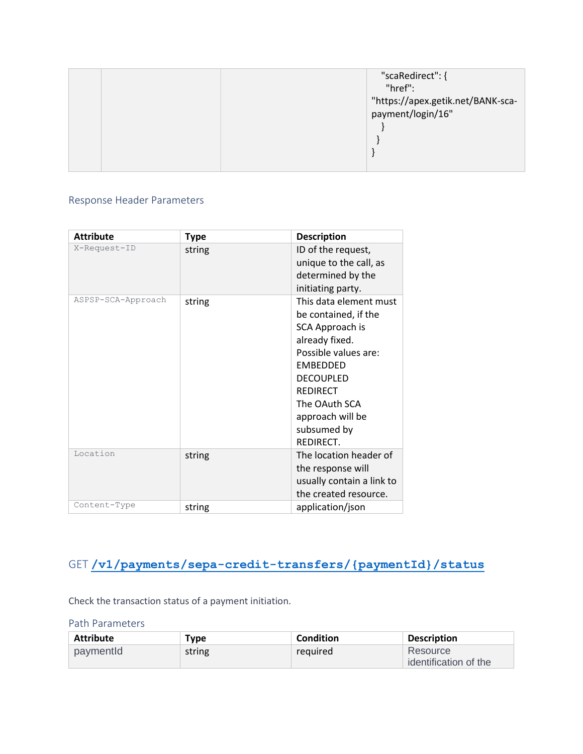| "scaRedirect": {                  |
|-----------------------------------|
| "href":                           |
| "https://apex.getik.net/BANK-sca- |
| payment/login/16"                 |
|                                   |
|                                   |
|                                   |
|                                   |

# Response Header Parameters

| <b>Attribute</b>   | <b>Type</b> | <b>Description</b>                                                                                                                                                                                                                     |
|--------------------|-------------|----------------------------------------------------------------------------------------------------------------------------------------------------------------------------------------------------------------------------------------|
| X-Request-ID       | string      | ID of the request,<br>unique to the call, as<br>determined by the<br>initiating party.                                                                                                                                                 |
| ASPSP-SCA-Approach | string      | This data element must<br>be contained, if the<br>SCA Approach is<br>already fixed.<br>Possible values are:<br><b>EMBEDDED</b><br><b>DECOUPLED</b><br><b>REDIRECT</b><br>The OAuth SCA<br>approach will be<br>subsumed by<br>REDIRECT. |
| Location           | string      | The location header of<br>the response will<br>usually contain a link to<br>the created resource.                                                                                                                                      |
| Content-Type       | string      | application/json                                                                                                                                                                                                                       |

# GET **[/v1/payments/sepa-credit-transfers/{paymentId}/status](https://176.223.226.28:9443/store/apis/info?name=EXIM-API&version=1.0.0&provider=admin#/operations/Payment%20Initiation%20Service%20(PIS)/get_v1_payments_sepa_credit_transfers__paymentId__status)**

Check the transaction status of a payment initiation.

Path Parameters

| <b>Attribute</b> | Type   | Condition | <b>Description</b>                |
|------------------|--------|-----------|-----------------------------------|
| paymentid        | string | required  | Resource<br>identification of the |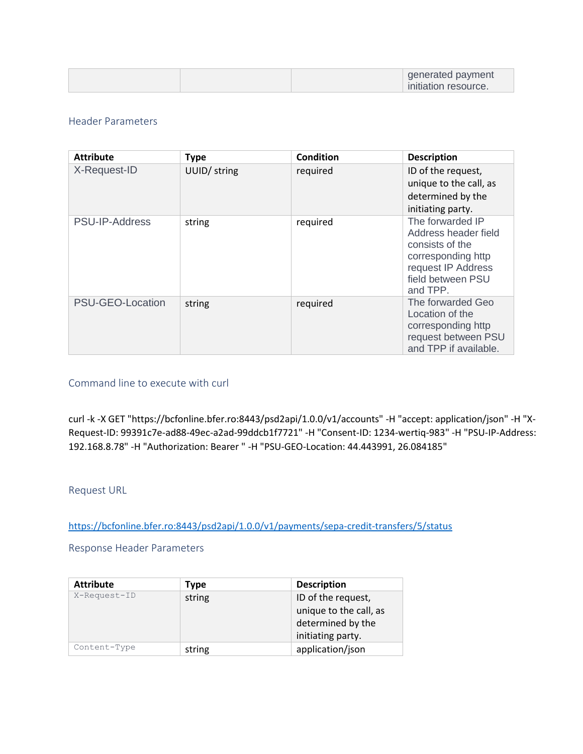|  | generated payment<br>initiation resource. |
|--|-------------------------------------------|
|--|-------------------------------------------|

### Header Parameters

| <b>Attribute</b> | <b>Type</b>  | <b>Condition</b> | <b>Description</b>                                                                                                                       |
|------------------|--------------|------------------|------------------------------------------------------------------------------------------------------------------------------------------|
| X-Request-ID     | UUID/ string | required         | ID of the request,<br>unique to the call, as<br>determined by the<br>initiating party.                                                   |
| PSU-IP-Address   | string       | required         | The forwarded IP<br>Address header field<br>consists of the<br>corresponding http<br>request IP Address<br>field between PSU<br>and TPP. |
| PSU-GEO-Location | string       | required         | The forwarded Geo<br>Location of the<br>corresponding http<br>request between PSU<br>and TPP if available.                               |

### Command line to execute with curl

curl -k -X GET "https://bcfonline.bfer.ro:8443/psd2api/1.0.0/v1/accounts" -H "accept: application/json" -H "X-Request-ID: 99391c7e-ad88-49ec-a2ad-99ddcb1f7721" -H "Consent-ID: 1234-wertiq-983" -H "PSU-IP-Address: 192.168.8.78" -H "Authorization: Bearer " -H "PSU-GEO-Location: 44.443991, 26.084185"

#### Request URL

<https://bcfonline.bfer.ro:8443/psd2api/1.0.0/v1/payments/sepa-credit-transfers/5/status>

Response Header Parameters

| <b>Attribute</b> | Type                         | <b>Description</b>     |
|------------------|------------------------------|------------------------|
| X-Request-ID     | ID of the request,<br>string |                        |
|                  |                              | unique to the call, as |
|                  |                              | determined by the      |
|                  |                              | initiating party.      |
| Content-Type     | string                       | application/json       |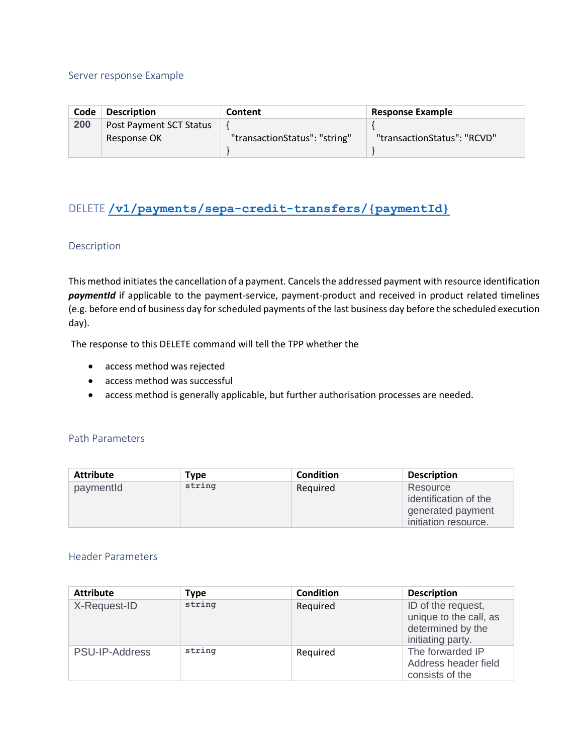#### Server response Example

| Code | <b>Description</b>                     | Content                       | <b>Response Example</b>     |
|------|----------------------------------------|-------------------------------|-----------------------------|
| 200  | Post Payment SCT Status<br>Response OK | "transactionStatus": "string" | "transactionStatus": "RCVD" |

# DELETE **[/v1/payments/sepa-credit-transfers/{paymentId}](https://176.223.226.28:9443/store/apis/info?name=EXIM-API&version=1.0.0&provider=admin#/operations/Payment%20Initiation%20Service%20(PIS)/delete_v1_payments_sepa_credit_transfers__paymentId_)**

### Description

This method initiates the cancellation of a payment. Cancels the addressed payment with resource identification *paymentId* if applicable to the payment-service, payment-product and received in product related timelines (e.g. before end of business day for scheduled payments of the last business day before the scheduled execution day).

The response to this DELETE command will tell the TPP whether the

- access method was rejected
- access method was successful
- access method is generally applicable, but further authorisation processes are needed.

#### Path Parameters

| <b>Attribute</b> | Type   | Condition | <b>Description</b>                                                             |
|------------------|--------|-----------|--------------------------------------------------------------------------------|
| paymentId        | string | Required  | Resource<br>identification of the<br>generated payment<br>initiation resource. |

| <b>Attribute</b>      | <b>Type</b> | Condition | <b>Description</b>                                                                     |
|-----------------------|-------------|-----------|----------------------------------------------------------------------------------------|
| X-Request-ID          | string      | Required  | ID of the request,<br>unique to the call, as<br>determined by the<br>initiating party. |
| <b>PSU-IP-Address</b> | string      | Required  | The forwarded IP<br>Address header field<br>consists of the                            |